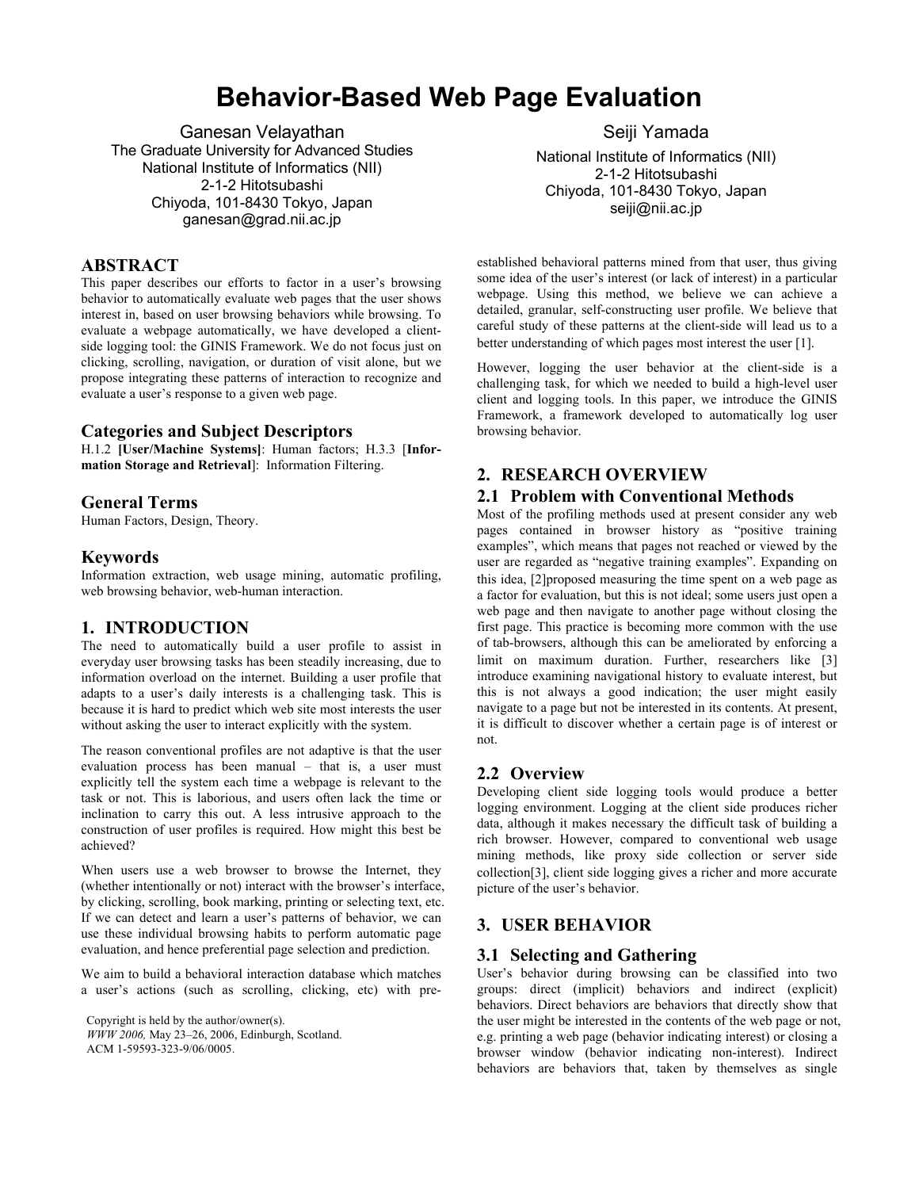# **Behavior-Based Web Page Evaluation**

Ganesan Velayathan The Graduate University for Advanced Studies National Institute of Informatics (NII) 2-1-2 Hitotsubashi Chiyoda, 101-8430 Tokyo, Japan ganesan@grad.nii.ac.jp

### **ABSTRACT**

This paper describes our efforts to factor in a user's browsing behavior to automatically evaluate web pages that the user shows interest in, based on user browsing behaviors while browsing. To evaluate a webpage automatically, we have developed a clientside logging tool: the GINIS Framework. We do not focus just on clicking, scrolling, navigation, or duration of visit alone, but we propose integrating these patterns of interaction to recognize and evaluate a user's response to a given web page.

### **Categories and Subject Descriptors**

H.1.2 **[User/Machine Systems]**: Human factors; H.3.3 [**Information Storage and Retrieval**]: Information Filtering.

### **General Terms**

Human Factors, Design, Theory.

### **Keywords**

Information extraction, web usage mining, automatic profiling, web browsing behavior, web-human interaction.

## **1. INTRODUCTION**

The need to automatically build a user profile to assist in everyday user browsing tasks has been steadily increasing, due to information overload on the internet. Building a user profile that adapts to a user's daily interests is a challenging task. This is because it is hard to predict which web site most interests the user without asking the user to interact explicitly with the system.

The reason conventional profiles are not adaptive is that the user evaluation process has been manual – that is, a user must explicitly tell the system each time a webpage is relevant to the task or not. This is laborious, and users often lack the time or inclination to carry this out. A less intrusive approach to the construction of user profiles is required. How might this best be achieved?

When users use a web browser to browse the Internet, they (whether intentionally or not) interact with the browser's interface, by clicking, scrolling, book marking, printing or selecting text, etc. If we can detect and learn a user's patterns of behavior, we can use these individual browsing habits to perform automatic page evaluation, and hence preferential page selection and prediction.

We aim to build a behavioral interaction database which matches a user's actions (such as scrolling, clicking, etc) with pre-

Copyright is held by the author/owner(s). *WWW 2006,* May 23–26, 2006, Edinburgh, Scotland. ACM 1-59593-323-9/06/0005.

Seiji Yamada National Institute of Informatics (NII) 2-1-2 Hitotsubashi Chiyoda, 101-8430 Tokyo, Japan seiji@nii.ac.jp

established behavioral patterns mined from that user, thus giving some idea of the user's interest (or lack of interest) in a particular webpage. Using this method, we believe we can achieve a detailed, granular, self-constructing user profile. We believe that careful study of these patterns at the client-side will lead us to a better understanding of which pages most interest the user [1].

However, logging the user behavior at the client-side is a challenging task, for which we needed to build a high-level user client and logging tools. In this paper, we introduce the GINIS Framework, a framework developed to automatically log user browsing behavior.

## **2. RESEARCH OVERVIEW**

## **2.1 Problem with Conventional Methods**

Most of the profiling methods used at present consider any web pages contained in browser history as "positive training examples", which means that pages not reached or viewed by the user are regarded as "negative training examples". Expanding on this idea, [2]proposed measuring the time spent on a web page as a factor for evaluation, but this is not ideal; some users just open a web page and then navigate to another page without closing the first page. This practice is becoming more common with the use of tab-browsers, although this can be ameliorated by enforcing a limit on maximum duration. Further, researchers like [3] introduce examining navigational history to evaluate interest, but this is not always a good indication; the user might easily navigate to a page but not be interested in its contents. At present, it is difficult to discover whether a certain page is of interest or not.

#### **2.2 Overview**

Developing client side logging tools would produce a better logging environment. Logging at the client side produces richer data, although it makes necessary the difficult task of building a rich browser. However, compared to conventional web usage mining methods, like proxy side collection or server side collection[3], client side logging gives a richer and more accurate picture of the user's behavior.

# **3. USER BEHAVIOR**

#### **3.1 Selecting and Gathering**

User's behavior during browsing can be classified into two groups: direct (implicit) behaviors and indirect (explicit) behaviors. Direct behaviors are behaviors that directly show that the user might be interested in the contents of the web page or not, e.g. printing a web page (behavior indicating interest) or closing a browser window (behavior indicating non-interest). Indirect behaviors are behaviors that, taken by themselves as single